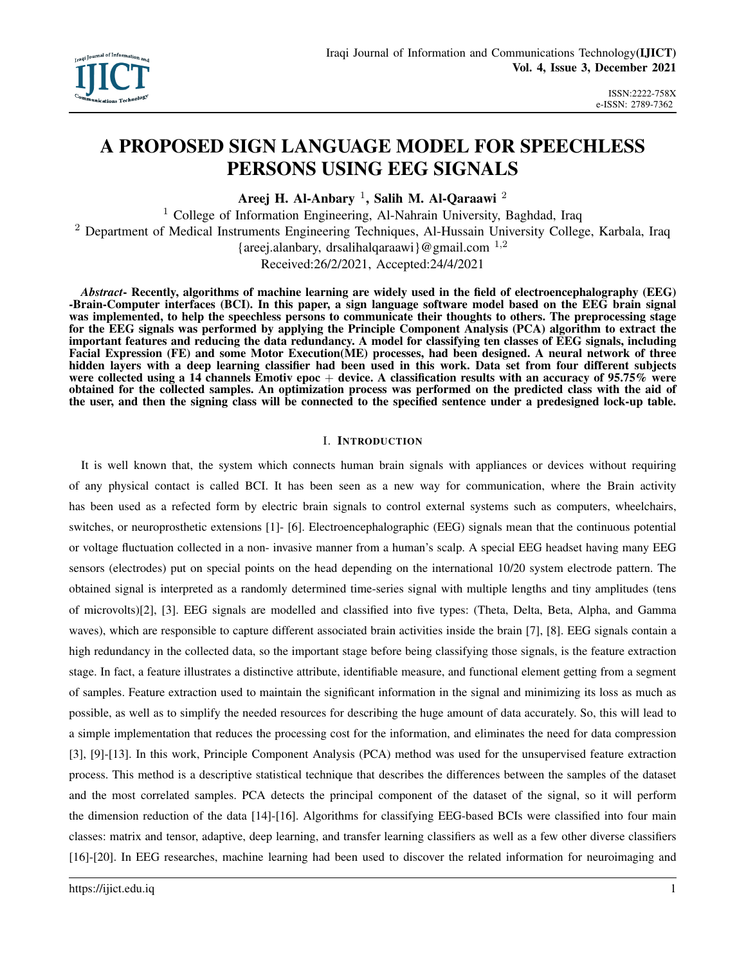# A PROPOSED SIGN LANGUAGE MODEL FOR SPEECHLESS PERSONS USING EEG SIGNALS

Areej H. Al-Anbary  $^1$ , Salih M. Al-Qaraawi  $^2$ 

<sup>1</sup> College of Information Engineering, Al-Nahrain University, Baghdad, Iraq <sup>2</sup> Department of Medical Instruments Engineering Techniques, Al-Hussain University College, Karbala, Iraq {areej.alanbary, drsalihalqaraawi}@gmail.com  $^{1,2}$ Received:26/2/2021, Accepted:24/4/2021

*Abstract*- Recently, algorithms of machine learning are widely used in the field of electroencephalography (EEG) -Brain-Computer interfaces (BCI). In this paper, a sign language software model based on the EEG brain signal was implemented, to help the speechless persons to communicate their thoughts to others. The preprocessing stage for the EEG signals was performed by applying the Principle Component Analysis (PCA) algorithm to extract the important features and reducing the data redundancy. A model for classifying ten classes of EEG signals, including Facial Expression (FE) and some Motor Execution(ME) processes, had been designed. A neural network of three hidden layers with a deep learning classifier had been used in this work. Data set from four different subjects were collected using a 14 channels Emotiv epoc  $+$  device. A classification results with an accuracy of 95.75% were obtained for the collected samples. An optimization process was performed on the predicted class with the aid of the user, and then the signing class will be connected to the specified sentence under a predesigned lock-up table.

#### I. INTRODUCTION

It is well known that, the system which connects human brain signals with appliances or devices without requiring of any physical contact is called BCI. It has been seen as a new way for communication, where the Brain activity has been used as a refected form by electric brain signals to control external systems such as computers, wheelchairs, switches, or neuroprosthetic extensions [1]- [6]. Electroencephalographic (EEG) signals mean that the continuous potential or voltage fluctuation collected in a non- invasive manner from a human's scalp. A special EEG headset having many EEG sensors (electrodes) put on special points on the head depending on the international 10/20 system electrode pattern. The obtained signal is interpreted as a randomly determined time-series signal with multiple lengths and tiny amplitudes (tens of microvolts)[2], [3]. EEG signals are modelled and classified into five types: (Theta, Delta, Beta, Alpha, and Gamma waves), which are responsible to capture different associated brain activities inside the brain [7], [8]. EEG signals contain a high redundancy in the collected data, so the important stage before being classifying those signals, is the feature extraction stage. In fact, a feature illustrates a distinctive attribute, identifiable measure, and functional element getting from a segment of samples. Feature extraction used to maintain the significant information in the signal and minimizing its loss as much as possible, as well as to simplify the needed resources for describing the huge amount of data accurately. So, this will lead to a simple implementation that reduces the processing cost for the information, and eliminates the need for data compression [3], [9]-[13]. In this work, Principle Component Analysis (PCA) method was used for the unsupervised feature extraction process. This method is a descriptive statistical technique that describes the differences between the samples of the dataset and the most correlated samples. PCA detects the principal component of the dataset of the signal, so it will perform the dimension reduction of the data [14]-[16]. Algorithms for classifying EEG-based BCIs were classified into four main classes: matrix and tensor, adaptive, deep learning, and transfer learning classifiers as well as a few other diverse classifiers [16]-[20]. In EEG researches, machine learning had been used to discover the related information for neuroimaging and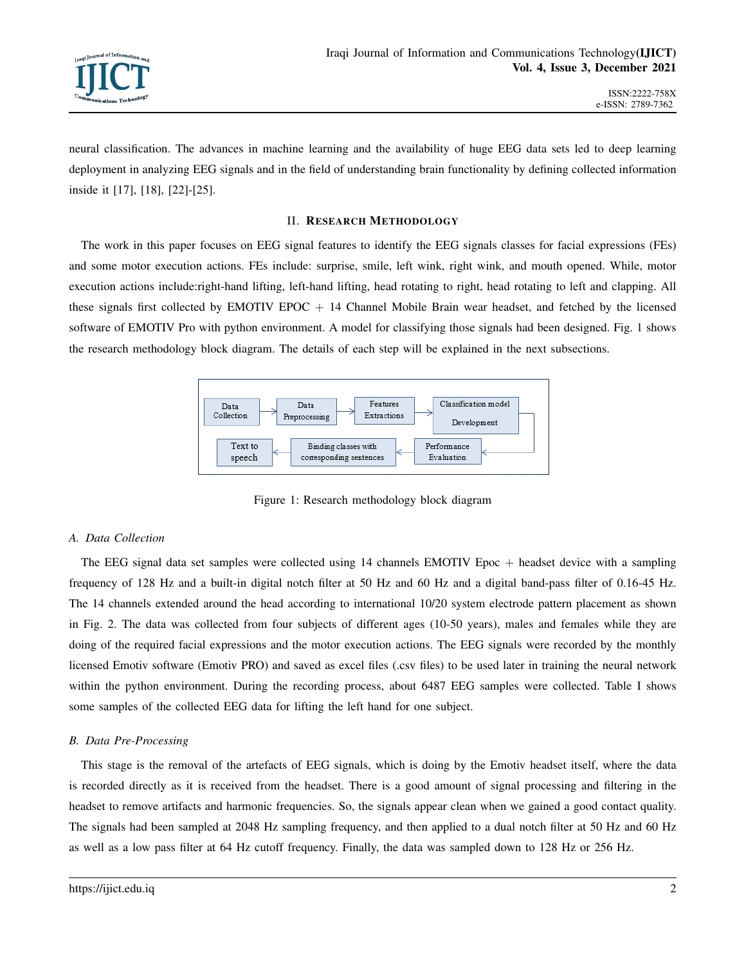

neural classification. The advances in machine learning and the availability of huge EEG data sets led to deep learning deployment in analyzing EEG signals and in the field of understanding brain functionality by defining collected information inside it [17], [18], [22]-[25].

#### II. RESEARCH METHODOLOGY

The work in this paper focuses on EEG signal features to identify the EEG signals classes for facial expressions (FEs) and some motor execution actions. FEs include: surprise, smile, left wink, right wink, and mouth opened. While, motor execution actions include:right-hand lifting, left-hand lifting, head rotating to right, head rotating to left and clapping. All these signals first collected by EMOTIV EPOC  $+$  14 Channel Mobile Brain wear headset, and fetched by the licensed software of EMOTIV Pro with python environment. A model for classifying those signals had been designed. Fig. 1 shows the research methodology block diagram. The details of each step will be explained in the next subsections.



Figure 1: Research methodology block diagram

## *A. Data Collection*

The EEG signal data set samples were collected using 14 channels EMOTIV Epoc + headset device with a sampling frequency of 128 Hz and a built-in digital notch filter at 50 Hz and 60 Hz and a digital band-pass filter of 0.16-45 Hz. The 14 channels extended around the head according to international 10/20 system electrode pattern placement as shown in Fig. 2. The data was collected from four subjects of different ages (10-50 years), males and females while they are doing of the required facial expressions and the motor execution actions. The EEG signals were recorded by the monthly licensed Emotiv software (Emotiv PRO) and saved as excel files (.csv files) to be used later in training the neural network within the python environment. During the recording process, about 6487 EEG samples were collected. Table I shows some samples of the collected EEG data for lifting the left hand for one subject.

## *B. Data Pre-Processing*

This stage is the removal of the artefacts of EEG signals, which is doing by the Emotiv headset itself, where the data is recorded directly as it is received from the headset. There is a good amount of signal processing and filtering in the headset to remove artifacts and harmonic frequencies. So, the signals appear clean when we gained a good contact quality. The signals had been sampled at 2048 Hz sampling frequency, and then applied to a dual notch filter at 50 Hz and 60 Hz as well as a low pass filter at 64 Hz cutoff frequency. Finally, the data was sampled down to 128 Hz or 256 Hz.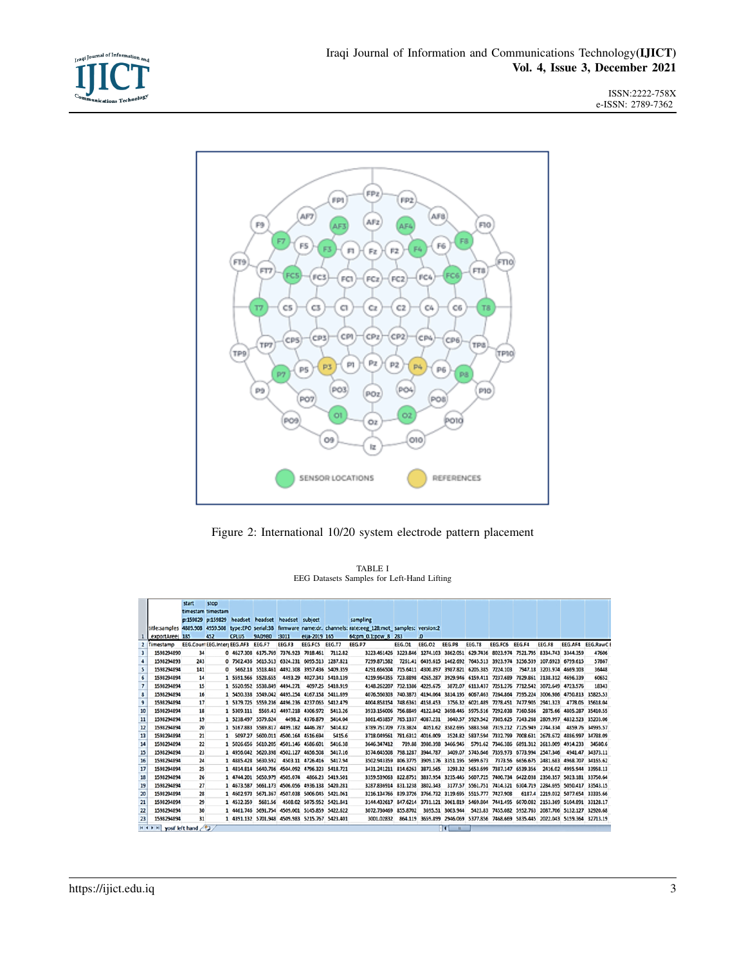

ISSN:2222-758X e-ISSN: 2789-7362



Figure 2: International 10/20 system electrode pattern placement

TABLE I EEG Datasets Samples for Left-Hand Lifting

|                                       |                 | start | stop              |                                                   |         |                                             |                  |                           |                                                                                                                    |               |                 |          |        |                |                                                                        |        |                           |                                                                                 |
|---------------------------------------|-----------------|-------|-------------------|---------------------------------------------------|---------|---------------------------------------------|------------------|---------------------------|--------------------------------------------------------------------------------------------------------------------|---------------|-----------------|----------|--------|----------------|------------------------------------------------------------------------|--------|---------------------------|---------------------------------------------------------------------------------|
|                                       |                 |       | timestam timestam |                                                   |         |                                             |                  |                           |                                                                                                                    |               |                 |          |        |                |                                                                        |        |                           |                                                                                 |
|                                       |                 |       |                   | p:159829 p:159829 headset headset headset subject |         |                                             |                  |                           | sampling                                                                                                           |               |                 |          |        |                |                                                                        |        |                           |                                                                                 |
|                                       |                 |       |                   |                                                   |         |                                             |                  |                           | title:samples 4889.908 4959.508 type:EPO serial:3B firmware name:dr. channels: rate:eeg 128;mot samples: version:2 |               |                 |          |        |                |                                                                        |        |                           |                                                                                 |
|                                       | exportAreel 185 |       | 452               | <b>CPLUS</b>                                      | 9AD9B0  | :3011                                       | ella-2019 165    |                           | 64:pm 0.1:pow 8 283                                                                                                |               | $\cdot$         |          |        |                |                                                                        |        |                           |                                                                                 |
|                                       | Timestamp       |       |                   | EEG.Count EEG.Interr EEG.AF3 EEG.F7               |         | EEG.F3                                      | EEG.FC5 EEG.T7   |                           | EEG.P7                                                                                                             | <b>EEG.01</b> | <b>EEG.02</b>   | EEG.P8   | EEG.T8 | EEG.FC6 EEG.F4 |                                                                        | EEG.F8 |                           | EEG.AF4 EEG.RawCE                                                               |
| $\overline{\mathbf{3}}$               | 1598294890      | 34    |                   | 0 4627.308 6175.769 7376.923 7018.461 7112.82     |         |                                             |                  |                           | 3223.461426 3223.846 1274.103 3862.051 629.7436 8023.974 7521.795 8334.743 3344.359                                |               |                 |          |        |                |                                                                        |        |                           | 47606                                                                           |
| 4                                     | 1598294893      | 243   |                   | 0 7502.436 5615.513 6324.231 6095.513 1287.821    |         |                                             |                  |                           | 7299.871582                                                                                                        |               |                 |          |        |                | 7261.41 6439.615 1462.692 7645.513 3923.974 3256.539 107.6923 6799.615 |        |                           | 57867                                                                           |
| 5                                     | 1598294894      | 141   |                   | ۰                                                 |         | 5662.18 5518.461 4492.308 3957.436 5409.359 |                  |                           | 4291.666504 715.6411 4300.897 3987.821 6205.385 7224.103                                                           |               |                 |          |        |                |                                                                        |        | 7947.18 3203.974 4669.103 | 36448                                                                           |
| 6                                     | 1598294894      | 14    |                   | 1 5591.566 5528.655                               |         |                                             |                  | 4493.29 4027.343 5410.139 | 4219.964355 723.8898 4265.287 3929.946 6159.411 7237.689 7829.861 3138.312 4696.339                                |               |                 |          |        |                |                                                                        |        |                           | 60652                                                                           |
| $\overline{7}$                        | 1598294894      | 15    |                   | 1 5520.952 5538.849 4494.271                      |         |                                             |                  | 4097.25 5410.919          | 4148.262207 732.1386 4229.675                                                                                      |               |                 |          |        |                | 3872.07 6113.437 7251.276 7712.542 3072.649 4723.576                   |        |                           | 18343                                                                           |
| 8                                     | 1598294894      | 16    |                   | 1 5450.338 5549.042 4495.254 4167.158 5411.699    |         |                                             |                  |                           | 4076.560303 740.3873 4194.064 3814.195 6067.463 7264.864 7595.224 3006.986 4750.813 35825.53                       |               |                 |          |        |                |                                                                        |        |                           |                                                                                 |
| 9                                     | 1598294894      | 17    |                   | 1 5379.725 5559.236 4496.236 4237.065 5412.479    |         |                                             |                  |                           | 4004.858154 748.6361 4158.453                                                                                      |               |                 |          |        |                | 3756.32 6021.489 7278.451 7477.905 2941.323                            |        |                           | 4778.05 35618.04                                                                |
| 10                                    | 1598294894      | 18    |                   | 1 5309.111                                        |         | 5569.43 4497.218 4306.972                   |                  | 5413.26                   | 3933.156006 756.8849 4122.842 3698.445 5975.516 7292.038 7360.586                                                  |               |                 |          |        |                |                                                                        |        |                           | 2875.66 4805.287 35410.55                                                       |
| 11                                    | 1598294894      | 19    |                   | 1 5238.497 5579.624                               |         |                                             | 4498.2 4376.879  | 5414.04                   | 3861.453857 765.1337 4087.231                                                                                      |               |                 |          |        |                |                                                                        |        |                           | 3640.57 5929.542 7305.625 7243.268 2809.997 4832.523 35203.06                   |
| 12                                    | 1598294894      | 20    |                   | 1 5167.883 5589.817 4499.182 4446.787             |         |                                             |                  | 5414.82                   | 3789.751709 773.3824                                                                                               |               |                 |          |        |                | 4051.62 3582.695 5883.568 7319.212 7125.949 2744.334                   |        |                           | 4859.76 34995.57                                                                |
| 13                                    | 1598294894      | 21    |                   |                                                   |         | 5097.27 5600.011 4500.164 4516.694          |                  | 5415.6                    | 3718.049561 781.6312 4016.009                                                                                      |               |                 |          |        |                |                                                                        |        |                           | 3524.82 5837.594 7332.799 7008.631 2678.672 4886.997 34788.09                   |
| 14                                    | 1598294894      | 22    |                   | 1 5026.656 5610.205 4501.146 4586.601             |         |                                             |                  | 5416.38                   | 3646.347412                                                                                                        |               | 789.88 3980.398 | 3466.945 |        |                | 5791.62 7346.386 6891.312 2613.009 4914.233                            |        |                           | 34580.6                                                                         |
| 15                                    | 1598294894      | 23    |                   | 1 4956.042 5620.398 4502.127 4656.508             |         |                                             |                  | 5417.16                   | 3574.645508 798.1287 3944.787                                                                                      |               |                 |          |        |                | 3409.07 5745.646 7359.973 6773.994 2547.346                            |        |                           | 4941.47 34373.11                                                                |
| 16                                    | 1598294894      | 24    |                   | 1 4885.428 5630.592                               |         |                                             | 4503.11 4726.416 | 5417.94                   | 3502.943359 806.3775 3909.176 3351.195 5699.673                                                                    |               |                 |          |        |                |                                                                        |        |                           | 7373.56 6656.675 2481.683 4968.707 34165.62                                     |
| 17                                    | 1598294894      | 25    |                   | 1 4814.814 5640.786 4504.092 4796.323 5418.721    |         |                                             |                  |                           | 3431.241211 814.6263 3873.565                                                                                      |               |                 |          |        |                | 3293.32 5653.699 7387.147 6539.356                                     |        |                           | 2416.02 4995.944 33958.13                                                       |
| 18                                    | 1598294894      | 26    |                   | 1 4744.201 5650.979 4505.074                      |         |                                             |                  | 4866.23 5419.501          | 3359.539063 822.8751 3837.954 3235.445 5607.725 7400.734 6422.038 2350.357 5023.181 33750.64                       |               |                 |          |        |                |                                                                        |        |                           |                                                                                 |
| 19                                    | 1598294894      | 27    |                   | 1 4673.587 5661.173 4506.056 4936.138 5420.281    |         |                                             |                  |                           | 3287.836914 831.1238 3802.343                                                                                      |               |                 |          |        |                |                                                                        |        |                           | 3177.57 5561.751 7414.321 6304.719 2284.695 5050.417 33543.15                   |
| 20                                    | 1598294894      | 28    |                   | 1 4602.973 5671.367 4507.038 5006.045 5421.061    |         |                                             |                  |                           | 3216.134766 839.3726 3766.732 3119.695 5515.777 7427.908                                                           |               |                 |          |        |                |                                                                        |        |                           | 6187.4 2219.032 5077.654 33335.66                                               |
| 21                                    | 1598294894      | 29    |                   | 1 4532.359                                        | 5681.56 |                                             |                  | 4508.02 5075.952 5421.841 | 3144.432617 847.6214 3731.121 3061.819 5469.804 7441.495 6070.082 2153.369 5104.891 33128.17                       |               |                 |          |        |                |                                                                        |        |                           |                                                                                 |
| 22                                    | 1598294894      | 30    |                   | 1 4461.746 5691.754 4509.001 5145.859 5422.622    |         |                                             |                  |                           | 3072.730469 855.8702                                                                                               |               |                 |          |        |                |                                                                        |        |                           | 3695.51 3003.944 5423.83 7455.082 5952.763 2087.706 5132.127 32920.68           |
| 23                                    | 1598294894      | 31    |                   | 1 4391.132 5701.948 4509.983 5215.767 5423.401    |         |                                             |                  |                           | 3001.02832                                                                                                         |               |                 |          |        |                |                                                                        |        |                           | 864.119 3659.899 2946.069 5377.856 7468.669 5835.445 2022.043 5159.364 32713.19 |
| H 4 B H yosif left hand<br>Ħ<br>$-11$ |                 |       |                   |                                                   |         |                                             |                  |                           |                                                                                                                    |               |                 |          |        |                |                                                                        |        |                           |                                                                                 |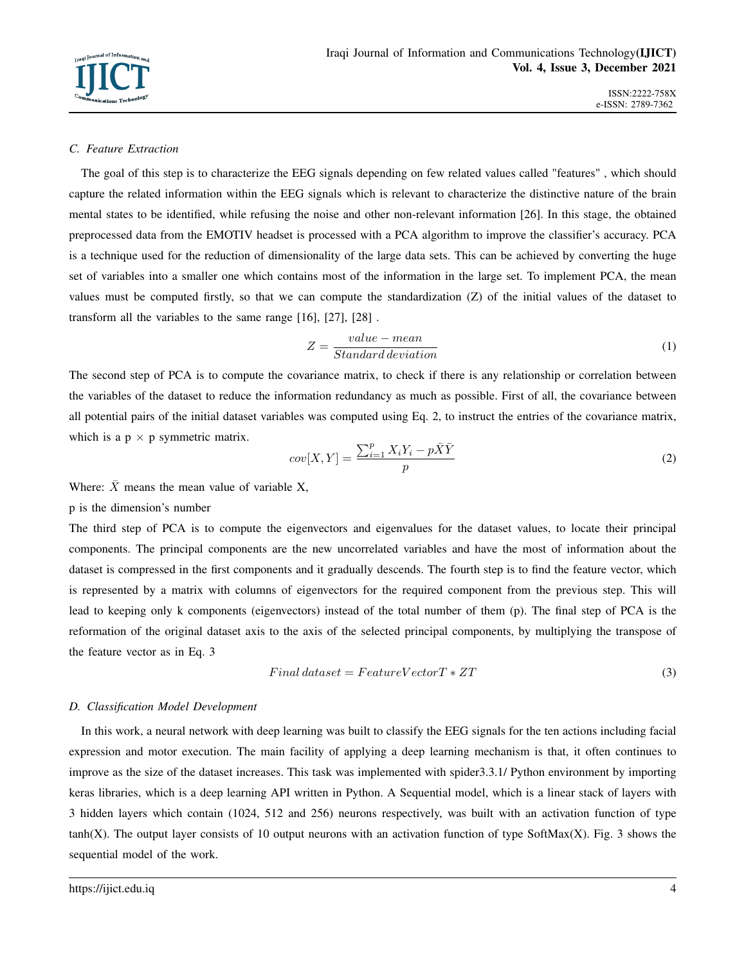### *C. Feature Extraction*

The goal of this step is to characterize the EEG signals depending on few related values called "features" , which should capture the related information within the EEG signals which is relevant to characterize the distinctive nature of the brain mental states to be identified, while refusing the noise and other non-relevant information [26]. In this stage, the obtained preprocessed data from the EMOTIV headset is processed with a PCA algorithm to improve the classifier's accuracy. PCA is a technique used for the reduction of dimensionality of the large data sets. This can be achieved by converting the huge set of variables into a smaller one which contains most of the information in the large set. To implement PCA, the mean values must be computed firstly, so that we can compute the standardization (Z) of the initial values of the dataset to transform all the variables to the same range [16], [27], [28] .

$$
Z = \frac{value - mean}{Standard\,deviation} \tag{1}
$$

The second step of PCA is to compute the covariance matrix, to check if there is any relationship or correlation between the variables of the dataset to reduce the information redundancy as much as possible. First of all, the covariance between all potential pairs of the initial dataset variables was computed using Eq. 2, to instruct the entries of the covariance matrix, which is a  $p \times p$  symmetric matrix.

$$
cov[X,Y] = \frac{\sum_{i=1}^{p} X_i Y_i - p\bar{X}\bar{Y}}{p}
$$
\n<sup>(2)</sup>

Where:  $\bar{X}$  means the mean value of variable X,

#### p is the dimension's number

The third step of PCA is to compute the eigenvectors and eigenvalues for the dataset values, to locate their principal components. The principal components are the new uncorrelated variables and have the most of information about the dataset is compressed in the first components and it gradually descends. The fourth step is to find the feature vector, which is represented by a matrix with columns of eigenvectors for the required component from the previous step. This will lead to keeping only k components (eigenvectors) instead of the total number of them (p). The final step of PCA is the reformation of the original dataset axis to the axis of the selected principal components, by multiplying the transpose of the feature vector as in Eq. 3

$$
Final\,dataset = FeatureVectorT * ZT\tag{3}
$$

#### *D. Classification Model Development*

In this work, a neural network with deep learning was built to classify the EEG signals for the ten actions including facial expression and motor execution. The main facility of applying a deep learning mechanism is that, it often continues to improve as the size of the dataset increases. This task was implemented with spider3.3.1/ Python environment by importing keras libraries, which is a deep learning API written in Python. A Sequential model, which is a linear stack of layers with 3 hidden layers which contain (1024, 512 and 256) neurons respectively, was built with an activation function of type  $tanh(X)$ . The output layer consists of 10 output neurons with an activation function of type SoftMax $(X)$ . Fig. 3 shows the sequential model of the work.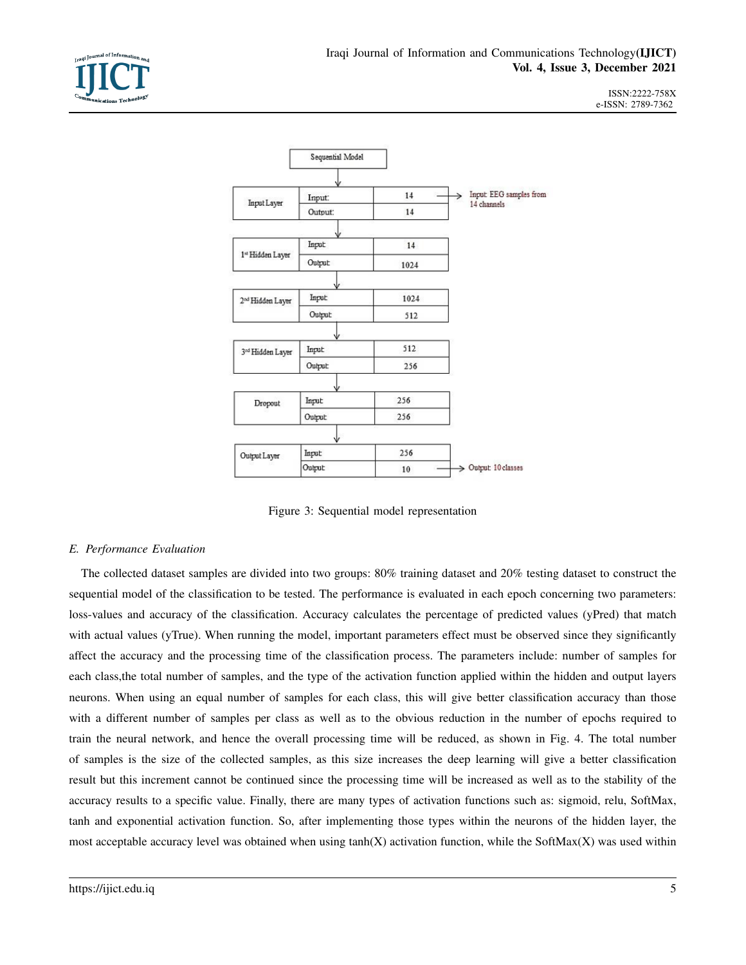

ISSN:2222-758X e-ISSN: 2789-7362



Figure 3: Sequential model representation

## *E. Performance Evaluation*

The collected dataset samples are divided into two groups: 80% training dataset and 20% testing dataset to construct the sequential model of the classification to be tested. The performance is evaluated in each epoch concerning two parameters: loss-values and accuracy of the classification. Accuracy calculates the percentage of predicted values (yPred) that match with actual values (yTrue). When running the model, important parameters effect must be observed since they significantly affect the accuracy and the processing time of the classification process. The parameters include: number of samples for each class,the total number of samples, and the type of the activation function applied within the hidden and output layers neurons. When using an equal number of samples for each class, this will give better classification accuracy than those with a different number of samples per class as well as to the obvious reduction in the number of epochs required to train the neural network, and hence the overall processing time will be reduced, as shown in Fig. 4. The total number of samples is the size of the collected samples, as this size increases the deep learning will give a better classification result but this increment cannot be continued since the processing time will be increased as well as to the stability of the accuracy results to a specific value. Finally, there are many types of activation functions such as: sigmoid, relu, SoftMax, tanh and exponential activation function. So, after implementing those types within the neurons of the hidden layer, the most acceptable accuracy level was obtained when using  $tanh(X)$  activation function, while the SoftMax(X) was used within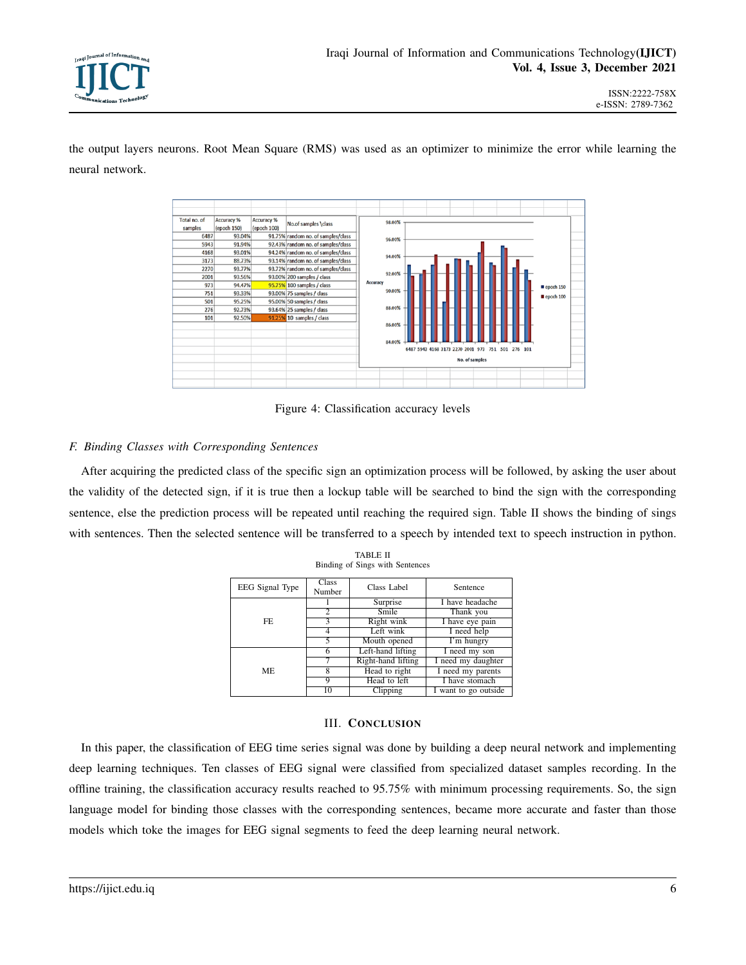

the output layers neurons. Root Mean Square (RMS) was used as an optimizer to minimize the error while learning the neural network.



Figure 4: Classification accuracy levels

## *F. Binding Classes with Corresponding Sentences*

After acquiring the predicted class of the specific sign an optimization process will be followed, by asking the user about the validity of the detected sign, if it is true then a lockup table will be searched to bind the sign with the corresponding sentence, else the prediction process will be repeated until reaching the required sign. Table II shows the binding of sings with sentences. Then the selected sentence will be transferred to a speech by intended text to speech instruction in python.

| EEG Signal Type | Class<br>Number | Class Label        | Sentence             |  |  |  |
|-----------------|-----------------|--------------------|----------------------|--|--|--|
|                 |                 | Surprise           | I have headache      |  |  |  |
|                 | $\overline{c}$  | Smile              | Thank you            |  |  |  |
| FF.             | 3               | Right wink         | I have eye pain      |  |  |  |
|                 |                 | Left wink          | I need help          |  |  |  |
|                 | 5               | Mouth opened       | I'm hungry           |  |  |  |
|                 | 6               | Left-hand lifting  | I need my son        |  |  |  |
|                 | 7               | Right-hand lifting | I need my daughter   |  |  |  |
| <b>ME</b>       | 8               | Head to right      | I need my parents    |  |  |  |
|                 | 9               | Head to left       | I have stomach       |  |  |  |
|                 | 10              | Clipping           | I want to go outside |  |  |  |

TABLE II Binding of Sings with Sentences

## III. CONCLUSION

In this paper, the classification of EEG time series signal was done by building a deep neural network and implementing deep learning techniques. Ten classes of EEG signal were classified from specialized dataset samples recording. In the offline training, the classification accuracy results reached to 95.75% with minimum processing requirements. So, the sign language model for binding those classes with the corresponding sentences, became more accurate and faster than those models which toke the images for EEG signal segments to feed the deep learning neural network.